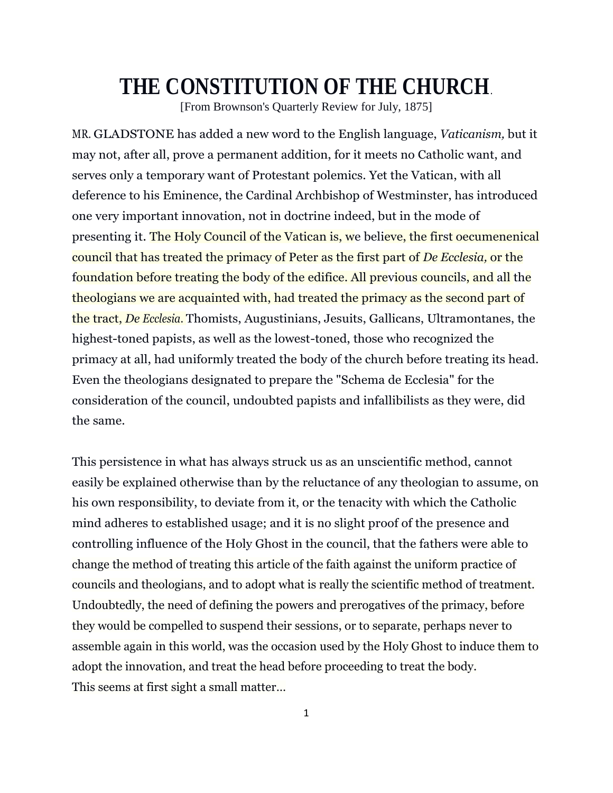## **THE CONSTITUTION OF THE CHURCH**.

[From Brownson's Quarterly Review for July, 1875]

MR. GLADSTONE has added a new word to the English language, *Vaticanism,* but it may not, after all, prove a permanent addition, for it meets no Catholic want, and serves only a temporary want of Protestant polemics. Yet the Vatican, with all deference to his Eminence, the Cardinal Archbishop of Westminster, has introduced one very important innovation, not in doctrine indeed, but in the mode of presenting it. The Holy Council of the Vatican is, we believe, the first oecumenenical council that has treated the primacy of Peter as the first part of *De Ecclesia,* or the foundation before treating the body of the edifice. All previous councils, and all the theologians we are acquainted with, had treated the primacy as the second part of the tract, *De Ecclesia.* Thomists, Augustinians, Jesuits, Gallicans, Ultramontanes, the highest-toned papists, as well as the lowest-toned, those who recognized the primacy at all, had uniformly treated the body of the church before treating its head. Even the theologians designated to prepare the "Schema de Ecclesia" for the consideration of the council, undoubted papists and infallibilists as they were, did the same.

This persistence in what has always struck us as an unscientific method, cannot easily be explained otherwise than by the reluctance of any theologian to assume, on his own responsibility, to deviate from it, or the tenacity with which the Catholic mind adheres to established usage; and it is no slight proof of the presence and controlling influence of the Holy Ghost in the council, that the fathers were able to change the method of treating this article of the faith against the uniform practice of councils and theologians, and to adopt what is really the scientific method of treatment. Undoubtedly, the need of defining the powers and prerogatives of the primacy, before they would be compelled to suspend their sessions, or to separate, perhaps never to assemble again in this world, was the occasion used by the Holy Ghost to induce them to adopt the innovation, and treat the head before proceeding to treat the body. This seems at first sight a small matter…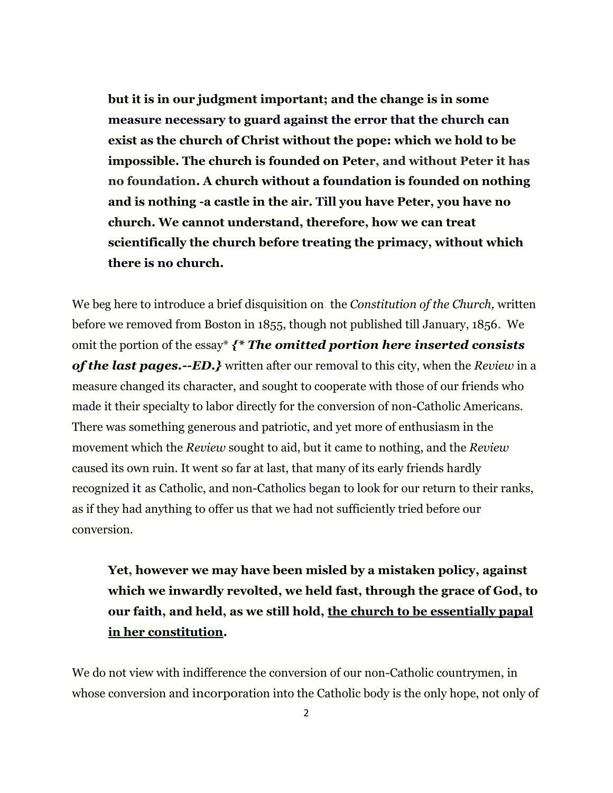**but it is in our judgment important; and the change is in some measure necessary to guard against the error that the church can exist as the church of Christ without the pope: which we hold to be impossible. The church is founded on Peter, and without Peter it has no foundation. A church without a foundation is founded on nothing and is nothing -a castle in the air. Till you have Peter, you have no church. We cannot understand, therefore, how we can treat scientifically the church before treating the primacy, without which there is no church.** 

We beg here to introduce a brief disquisition on. the *Constitution of the Church,* written before we removed from Boston in 1855, though not published till January, 1856. We omit the portion of the essay\* *{\* The omitted portion here inserted consists of the last pages.--ED.}* written after our removal to this city, when the *Review* in a measure changed its character, and sought to cooperate with those of our friends who made it their specialty to labor directly for the conversion of non-Catholic Americans. There was something generous and patriotic, and yet more of enthusiasm in the movement which the *Review* sought to aid, but it came to nothing, and the *Review*  caused its own ruin. It went so far at last, that many of its early friends hardly recognized it as Catholic, and non-Catholics began to look for our return to their ranks, as if they had anything to offer us that we had not sufficiently tried before our conversion.

**Yet, however we may have been misled by a mistaken policy, against which we inwardly revolted, we held fast, through the grace of God, to our faith, and held, as we still hold, the church to be essentially papal in her constitution.** 

We do not view with indifference the conversion of our non-Catholic countrymen, in whose conversion and incorporation into the Catholic body is the only hope, not only of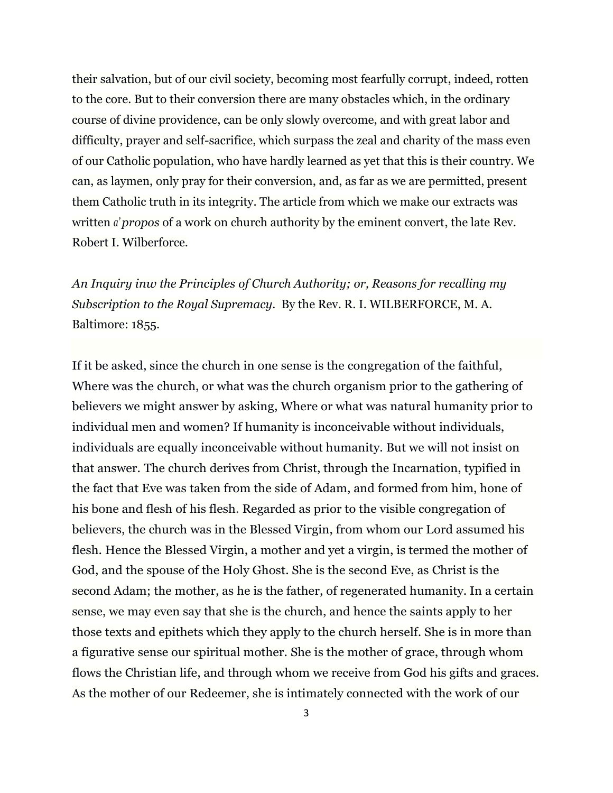their salvation, but of our civil society, becoming most fearfully corrupt, indeed, rotten to the core. But to their conversion there are many obstacles which, in the ordinary course of divine providence, can be only slowly overcome, and with great labor and difficulty, prayer and self-sacrifice, which surpass the zeal and charity of the mass even of our Catholic population, who have hardly learned as yet that this is their country. We can, as laymen, only pray for their conversion, and, as far as we are permitted, present them Catholic truth in its integrity. The article from which we make our extracts was written *a' propos* of a work on church authority by the eminent convert, the late Rev. Robert I. Wilberforce.

*An Inquiry inw the Principles of Church Authority; or, Reasons for recalling my Subscription to the Royal Supremacy.* By the Rev. R. I. WILBERFORCE, M. A. Baltimore: 1855.

If it be asked, since the church in one sense is the congregation of the faithful, Where was the church, or what was the church organism prior to the gathering of believers we might answer by asking, Where or what was natural humanity prior to individual men and women? If humanity is inconceivable without individuals, individuals are equally inconceivable without humanity. But we will not insist on that answer. The church derives from Christ, through the Incarnation, typified in the fact that Eve was taken from the side of Adam, and formed from him, hone of his bone and flesh of his flesh. Regarded as prior to the visible congregation of believers, the church was in the Blessed Virgin, from whom our Lord assumed his flesh. Hence the Blessed Virgin, a mother and yet a virgin, is termed the mother of God, and the spouse of the Holy Ghost. She is the second Eve, as Christ is the second Adam; the mother, as he is the father, of regenerated humanity. In a certain sense, we may even say that she is the church, and hence the saints apply to her those texts and epithets which they apply to the church herself. She is in more than a figurative sense our spiritual mother. She is the mother of grace, through whom flows the Christian life, and through whom we receive from God his gifts and graces. As the mother of our Redeemer, she is intimately connected with the work of our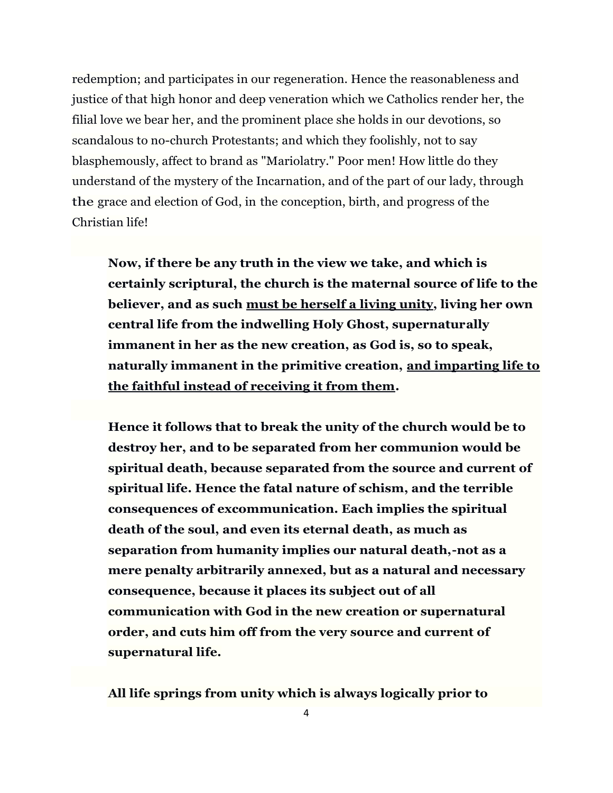redemption; and participates in our regeneration. Hence the reasonableness and justice of that high honor and deep veneration which we Catholics render her, the filial love we bear her, and the prominent place she holds in our devotions, so scandalous to no-church Protestants; and which they foolishly, not to say blasphemously, affect to brand as "Mariolatry." Poor men! How little do they understand of the mystery of the Incarnation, and of the part of our lady, through the grace and election of God, in the conception, birth, and progress of the Christian life!

**Now, if there be any truth in the view we take, and which is certainly scriptural, the church is the maternal source of life to the believer, and as such must be herself a living unity, living her own central life from the indwelling Holy Ghost, supernaturally immanent in her as the new creation, as God is, so to speak, naturally immanent in the primitive creation, and imparting life to the faithful instead of receiving it from them.** 

**Hence it follows that to break the unity of the church would be to destroy her, and to be separated from her communion would be spiritual death, because separated from the source and current of spiritual life. Hence the fatal nature of schism, and the terrible consequences of excommunication. Each implies the spiritual death of the soul, and even its eternal death, as much as separation from humanity implies our natural death,-not as a mere penalty arbitrarily annexed, but as a natural and necessary consequence, because it places its subject out of all communication with God in the new creation or supernatural order, and cuts him off from the very source and current of supernatural life.** 

**All life springs from unity which is always logically prior to** 

4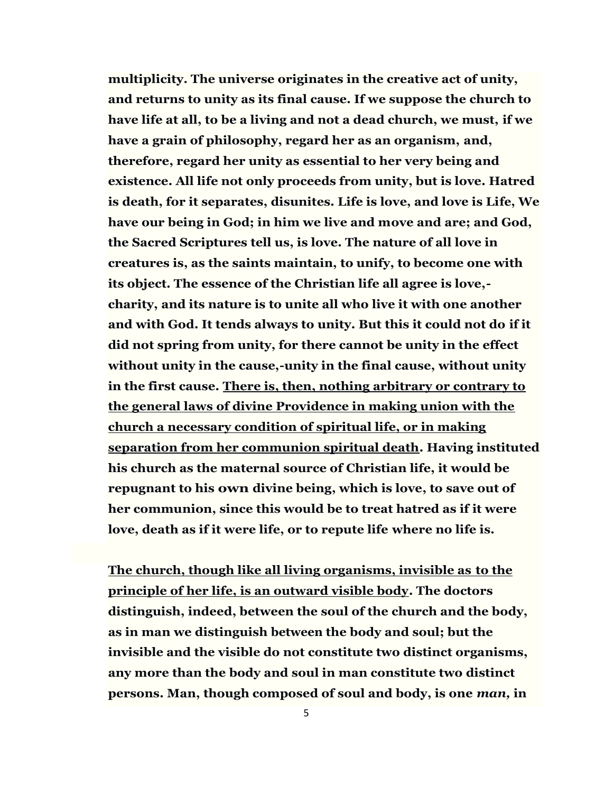**multiplicity. The universe originates in the creative act of unity, and returns to unity as its final cause. If we suppose the church to have life at all, to be a living and not a dead church, we must, if we have a grain of philosophy, regard her as an organism, and, therefore, regard her unity as essential to her very being and existence. All life not only proceeds from unity, but is love. Hatred is death, for it separates, disunites. Life is love, and love is Life, We have our being in God; in him we live and move and are; and God, the Sacred Scriptures tell us, is love. The nature of all love in creatures is, as the saints maintain, to unify, to become one with its object. The essence of the Christian life all agree is love, charity, and its nature is to unite all who live it with one another and with God. It tends always to unity. But this it could not do if it did not spring from unity, for there cannot be unity in the effect without unity in the cause,-unity in the final cause, without unity in the first cause. There is, then, nothing arbitrary or contrary to the general laws of divine Providence in making union with the church a necessary condition of spiritual life, or in making separation from her communion spiritual death. Having instituted his church as the maternal source of Christian life, it would be repugnant to his own divine being, which is love, to save out of her communion, since this would be to treat hatred as if it were love, death as if it were life, or to repute life where no life is.** 

**The church, though like all living organisms, invisible as to the principle of her life, is an outward visible body. The doctors distinguish, indeed, between the soul of the church and the body, as in man we distinguish between the body and soul; but the invisible and the visible do not constitute two distinct organisms, any more than the body and soul in man constitute two distinct persons. Man, though composed of soul and body, is one** *man,* **in**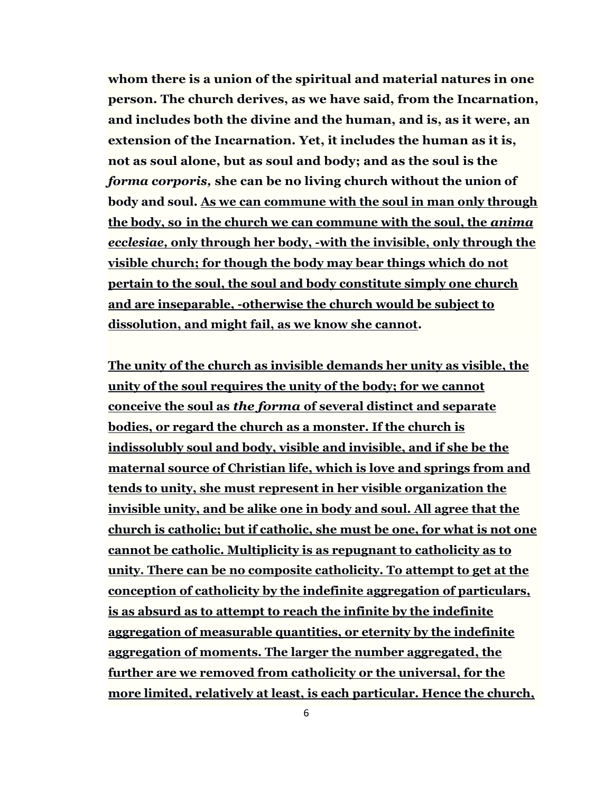**whom there is a union of the spiritual and material natures in one person. The church derives, as we have said, from the Incarnation, and includes both the divine and the human, and is, as it were, an extension of the Incarnation. Yet, it includes the human as it is, not as soul alone, but as soul and body; and as the soul is the**  *forma corporis,* **she can be no living church without the union of body and soul. As we can commune with the soul in man only through the body, so in the church we can commune with the soul, the** *anima ecclesiae,* **only through her body, -with the invisible, only through the visible church; for though the body may bear things which do not pertain to the soul, the soul and body constitute simply one church and are inseparable, -otherwise the church would be subject to dissolution, and might fail, as we know she cannot.** 

**The unity of the church as invisible demands her unity as visible, the unity of the soul requires the unity of the body; for we cannot conceive the soul as** *the forma* **of several distinct and separate bodies, or regard the church as a monster. If the church is indissolubly soul and body, visible and invisible, and if she be the maternal source of Christian life, which is love and springs from and tends to unity, she must represent in her visible organization the invisible unity, and be alike one in body and soul. All agree that the church is catholic; but if catholic, she must be one, for what is not one cannot be catholic. Multiplicity is as repugnant to catholicity as to unity. There can be no composite catholicity. To attempt to get at the conception of catholicity by the indefinite aggregation of particulars, is as absurd as to attempt to reach the infinite by the indefinite aggregation of measurable quantities, or eternity by the indefinite aggregation of moments. The larger the number aggregated, the further are we removed from catholicity or the universal, for the more limited, relatively at least, is each particular. Hence the church,**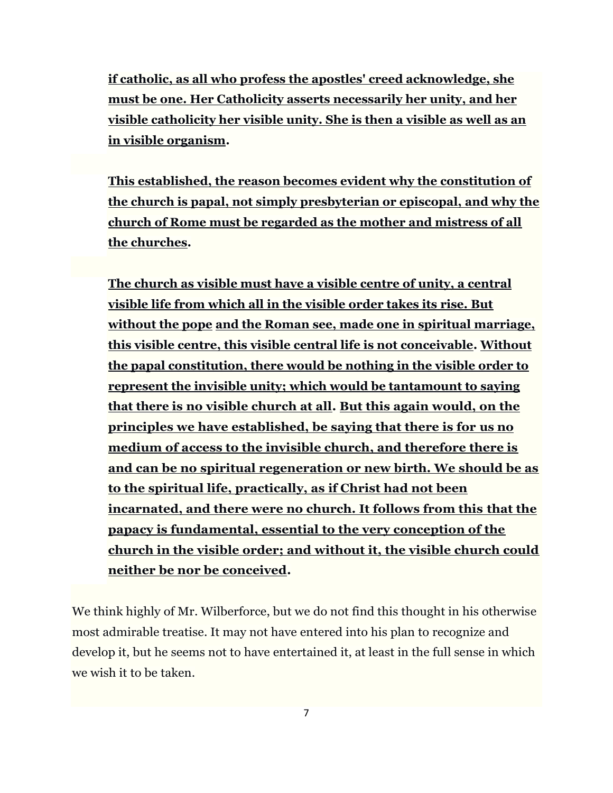**if catholic, as all who profess the apostles' creed acknowledge, she must be one. Her Catholicity asserts necessarily her unity, and her visible catholicity her visible unity. She is then a visible as well as an in visible organism.** 

**This established, the reason becomes evident why the constitution of the church is papal, not simply presbyterian or episcopal, and why the church of Rome must be regarded as the mother and mistress of all the churches.**

**The church as visible must have a visible centre of unity, a central visible life from which all in the visible order takes its rise. But without the pope and the Roman see, made one in spiritual marriage, this visible centre, this visible central life is not conceivable. Without the papal constitution, there would be nothing in the visible order to represent the invisible unity; which would be tantamount to saying that there is no visible church at all. But this again would, on the principles we have established, be saying that there is for us no medium of access to the invisible church, and therefore there is and can be no spiritual regeneration or new birth. We should be as to the spiritual life, practically, as if Christ had not been incarnated, and there were no church. It follows from this that the papacy is fundamental, essential to the very conception of the church in the visible order; and without it, the visible church could neither be nor be conceived.** 

We think highly of Mr. Wilberforce, but we do not find this thought in his otherwise most admirable treatise. It may not have entered into his plan to recognize and develop it, but he seems not to have entertained it, at least in the full sense in which we wish it to be taken.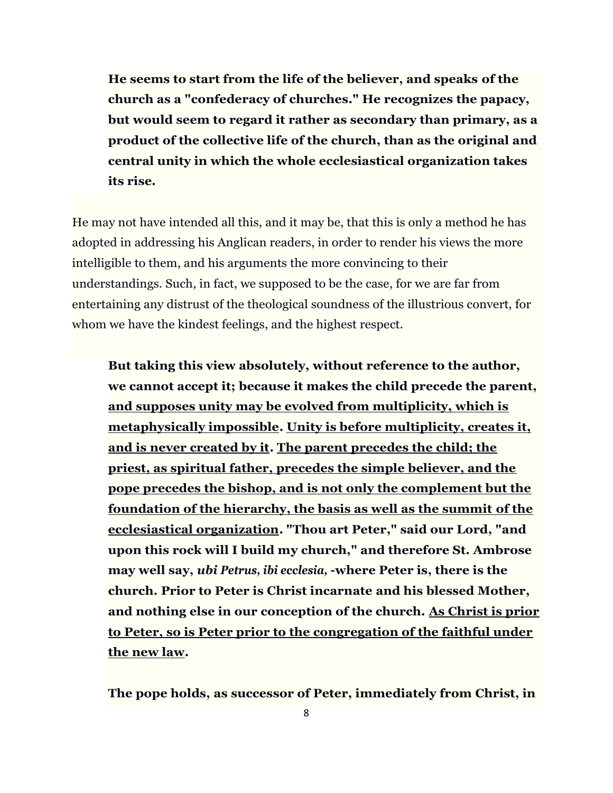**He seems to start from the life of the believer, and speaks of the church as a "confederacy of churches." He recognizes the papacy, but would seem to regard it rather as secondary than primary, as a product of the collective life of the church, than as the original and central unity in which the whole ecclesiastical organization takes its rise.**

He may not have intended all this, and it may be, that this is only a method he has adopted in addressing his Anglican readers, in order to render his views the more intelligible to them, and his arguments the more convincing to their understandings. Such, in fact, we supposed to be the case, for we are far from entertaining any distrust of the theological soundness of the illustrious convert, for whom we have the kindest feelings, and the highest respect.

**But taking this view absolutely, without reference to the author, we cannot accept it; because it makes the child precede the parent, and supposes unity may be evolved from multiplicity, which is metaphysically impossible. Unity is before multiplicity, creates it, and is never created by it. The parent precedes the child; the priest, as spiritual father, precedes the simple believer, and the pope precedes the bishop, and is not only the complement but the foundation of the hierarchy, the basis as well as the summit of the ecclesiastical organization. "Thou art Peter," said our Lord, "and upon this rock will I build my church," and therefore St. Ambrose may well say,** *ubi Petrus, ibi ecclesia,* **-where Peter is, there is the church. Prior to Peter is Christ incarnate and his blessed Mother, and nothing else in our conception of the church. As Christ is prior to Peter, so is Peter prior to the congregation of the faithful under the new law.** 

**The pope holds, as successor of Peter, immediately from Christ, in**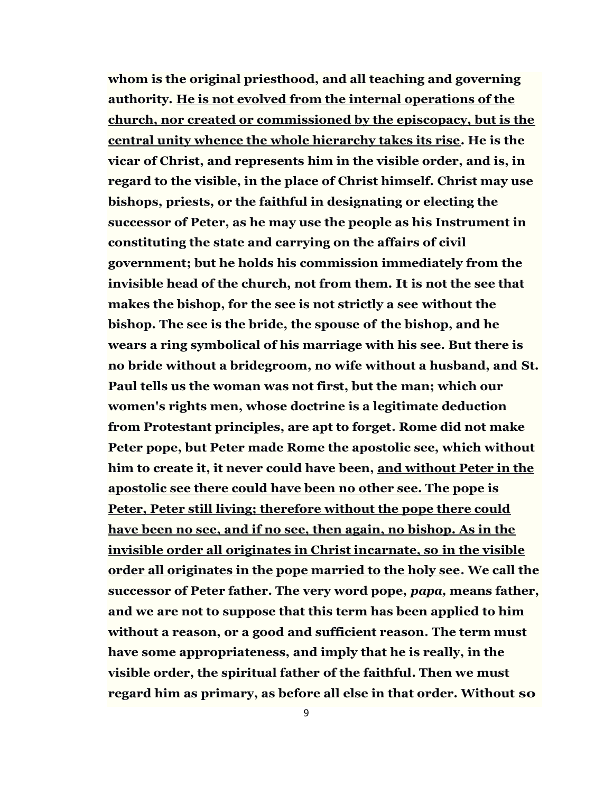**whom is the original priesthood, and all teaching and governing authority. He is not evolved from the internal operations of the church, nor created or commissioned by the episcopacy, but is the central unity whence the whole hierarchy takes its rise. He is the vicar of Christ, and represents him in the visible order, and is, in regard to the visible, in the place of Christ himself. Christ may use bishops, priests, or the faithful in designating or electing the successor of Peter, as he may use the people as his Instrument in constituting the state and carrying on the affairs of civil government; but he holds his commission immediately from the invisible head of the church, not from them. It is not the see that makes the bishop, for the see is not strictly a see without the bishop. The see is the bride, the spouse of the bishop, and he wears a ring symbolical of his marriage with his see. But there is no bride without a bridegroom, no wife without a husband, and St. Paul tells us the woman was not first, but the man; which our women's rights men, whose doctrine is a legitimate deduction from Protestant principles, are apt to forget. Rome did not make Peter pope, but Peter made Rome the apostolic see, which without him to create it, it never could have been, and without Peter in the apostolic see there could have been no other see. The pope is Peter, Peter still living; therefore without the pope there could have been no see, and if no see, then again, no bishop. As in the invisible order all originates in Christ incarnate, so in the visible order all originates in the pope married to the holy see. We call the successor of Peter father. The very word pope,** *papa,* **means father, and we are not to suppose that this term has been applied to him without a reason, or a good and sufficient reason. The term must have some appropriateness, and imply that he is really, in the visible order, the spiritual father of the faithful. Then we must regard him as primary, as before all else in that order. Without so**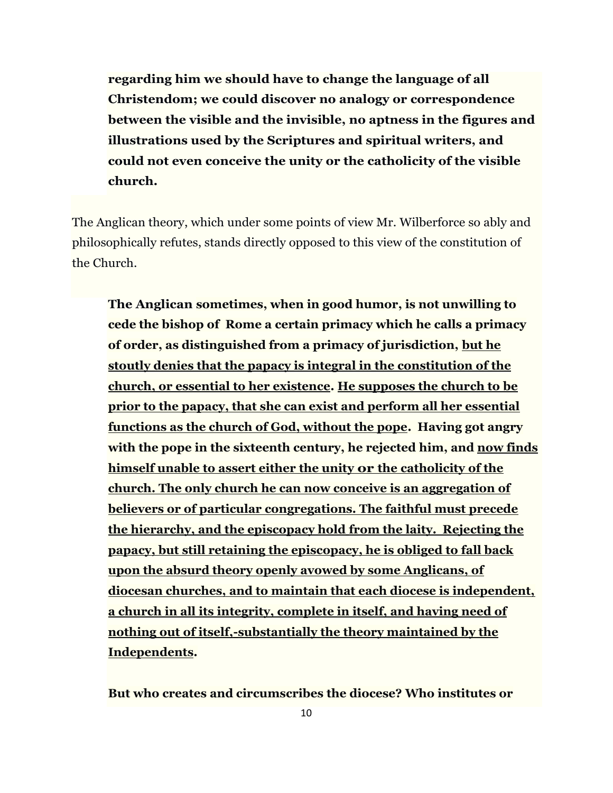**regarding him we should have to change the language of all Christendom; we could discover no analogy or correspondence between the visible and the invisible, no aptness in the figures and illustrations used by the Scriptures and spiritual writers, and could not even conceive the unity or the catholicity of the visible church.** 

The Anglican theory, which under some points of view Mr. Wilberforce so ably and philosophically refutes, stands directly opposed to this view of the constitution of the Church.

**The Anglican sometimes, when in good humor, is not unwilling to cede the bishop of Rome a certain primacy which he calls a primacy of order, as distinguished from a primacy of jurisdiction, but he stoutly denies that the papacy is integral in the constitution of the church, or essential to her existence. He supposes the church to be prior to the papacy, that she can exist and perform all her essential functions as the church of God, without the pope. Having got angry with the pope in the sixteenth century, he rejected him, and now finds himself unable to assert either the unity or the catholicity of the church. The only church he can now conceive is an aggregation of believers or of particular congregations. The faithful must precede the hierarchy, and the episcopacy hold from the laity. Rejecting the papacy, but still retaining the episcopacy, he is obliged to fall back upon the absurd theory openly avowed by some Anglicans, of diocesan churches, and to maintain that each diocese is independent, a church in all its integrity, complete in itself, and having need of nothing out of itself,-substantially the theory maintained by the Independents.** 

**But who creates and circumscribes the diocese? Who institutes or**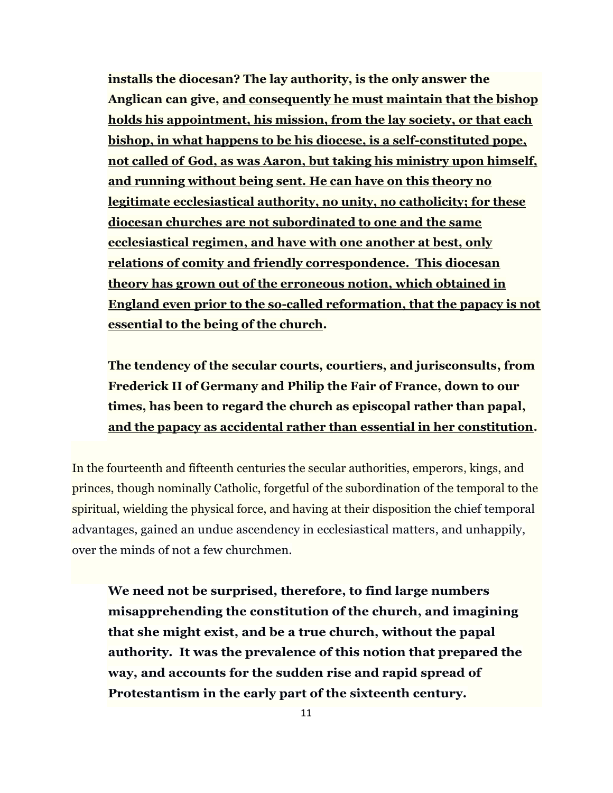**installs the diocesan? The lay authority, is the only answer the Anglican can give, and consequently he must maintain that the bishop holds his appointment, his mission, from the lay society, or that each bishop, in what happens to be his diocese, is a self-constituted pope, not called of God, as was Aaron, but taking his ministry upon himself, and running without being sent. He can have on this theory no legitimate ecclesiastical authority, no unity, no catholicity; for these diocesan churches are not subordinated to one and the same ecclesiastical regimen, and have with one another at best, only relations of comity and friendly correspondence. This diocesan theory has grown out of the erroneous notion, which obtained in England even prior to the so-called reformation, that the papacy is not essential to the being of the church.** 

**The tendency of the secular courts, courtiers, and jurisconsults, from Frederick II of Germany and Philip the Fair of France, down to our times, has been to regard the church as episcopal rather than papal, and the papacy as accidental rather than essential in her constitution.**

In the fourteenth and fifteenth centuries the secular authorities, emperors, kings, and princes, though nominally Catholic, forgetful of the subordination of the temporal to the spiritual, wielding the physical force, and having at their disposition the chief temporal advantages, gained an undue ascendency in ecclesiastical matters, and unhappily, over the minds of not a few churchmen.

**We need not be surprised, therefore, to find large numbers misapprehending the constitution of the church, and imagining that she might exist, and be a true church, without the papal authority. It was the prevalence of this notion that prepared the way, and accounts for the sudden rise and rapid spread of Protestantism in the early part of the sixteenth century.**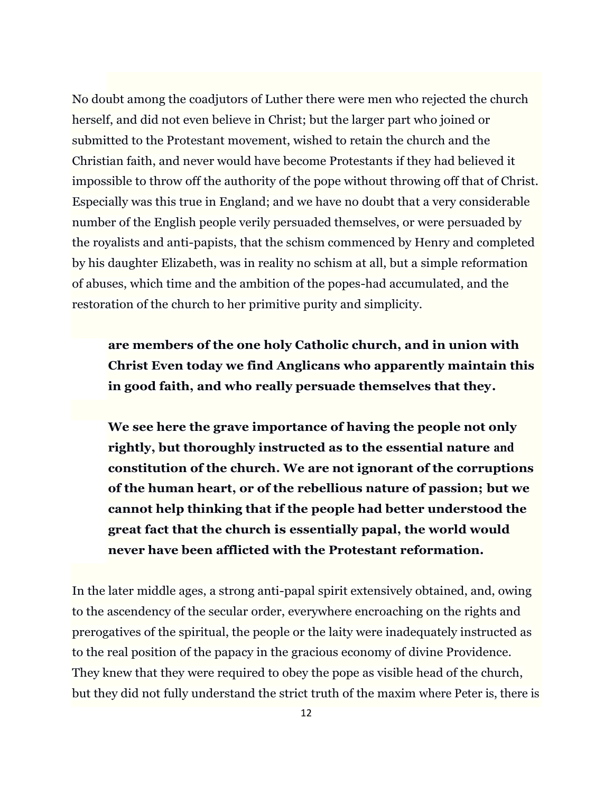No doubt among the coadjutors of Luther there were men who rejected the church herself, and did not even believe in Christ; but the larger part who joined or submitted to the Protestant movement, wished to retain the church and the Christian faith, and never would have become Protestants if they had believed it impossible to throw off the authority of the pope without throwing off that of Christ. Especially was this true in England; and we have no doubt that a very considerable number of the English people verily persuaded themselves, or were persuaded by the royalists and anti-papists, that the schism commenced by Henry and completed by his daughter Elizabeth, was in reality no schism at all, but a simple reformation of abuses, which time and the ambition of the popes-had accumulated, and the restoration of the church to her primitive purity and simplicity.

**are members of the one holy Catholic church, and in union with Christ Even today we find Anglicans who apparently maintain this in good faith, and who really persuade themselves that they.**

**We see here the grave importance of having the people not only rightly, but thoroughly instructed as to the essential nature and constitution of the church. We are not ignorant of the corruptions of the human heart, or of the rebellious nature of passion; but we cannot help thinking that if the people had better understood the great fact that the church is essentially papal, the world would never have been afflicted with the Protestant reformation.** 

In the later middle ages, a strong anti-papal spirit extensively obtained, and, owing to the ascendency of the secular order, everywhere encroaching on the rights and prerogatives of the spiritual, the people or the laity were inadequately instructed as to the real position of the papacy in the gracious economy of divine Providence. They knew that they were required to obey the pope as visible head of the church, but they did not fully understand the strict truth of the maxim where Peter is, there is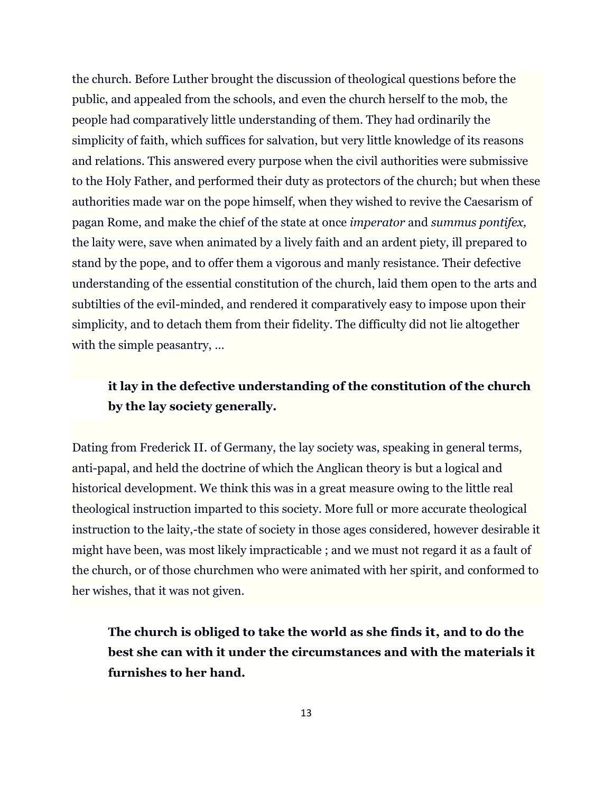the church. Before Luther brought the discussion of theological questions before the public, and appealed from the schools, and even the church herself to the mob, the people had comparatively little understanding of them. They had ordinarily the simplicity of faith, which suffices for salvation, but very little knowledge of its reasons and relations. This answered every purpose when the civil authorities were submissive to the Holy Father, and performed their duty as protectors of the church; but when these authorities made war on the pope himself, when they wished to revive the Caesarism of pagan Rome, and make the chief of the state at once *imperator* and *summus pontifex,*  the laity were, save when animated by a lively faith and an ardent piety, ill prepared to stand by the pope, and to offer them a vigorous and manly resistance. Their defective understanding of the essential constitution of the church, laid them open to the arts and subtilties of the evil-minded, and rendered it comparatively easy to impose upon their simplicity, and to detach them from their fidelity. The difficulty did not lie altogether with the simple peasantry, ...

## **it lay in the defective understanding of the constitution of the church by the lay society generally.**

Dating from Frederick II. of Germany, the lay society was, speaking in general terms, anti-papal, and held the doctrine of which the Anglican theory is but a logical and historical development. We think this was in a great measure owing to the little real theological instruction imparted to this society. More full or more accurate theological instruction to the laity,-the state of society in those ages considered, however desirable it might have been, was most likely impracticable ; and we must not regard it as a fault of the church, or of those churchmen who were animated with her spirit, and conformed to her wishes, that it was not given.

**The church is obliged to take the world as she finds it, and to do the best she can with it under the circumstances and with the materials it furnishes to her hand.**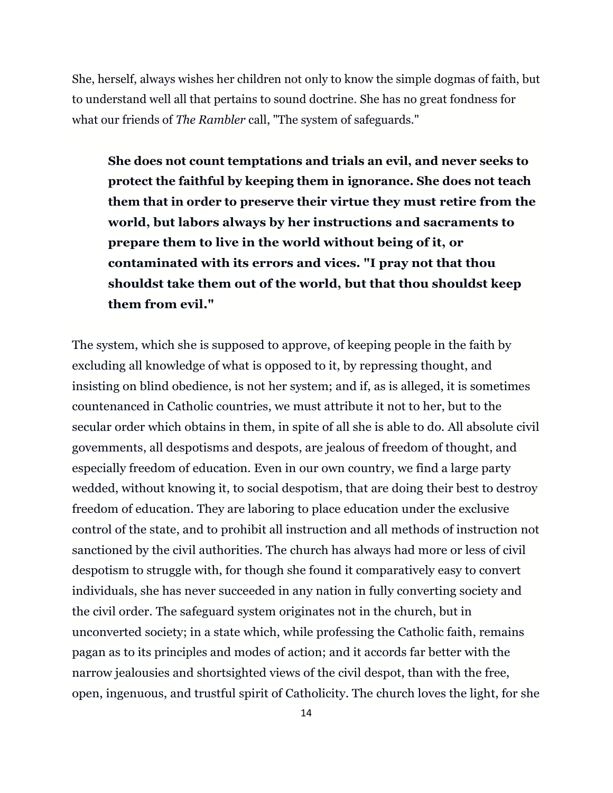She, herself, always wishes her children not only to know the simple dogmas of faith, but to understand well all that pertains to sound doctrine. She has no great fondness for what our friends of *The Rambler* call, "The system of safeguards."

**She does not count temptations and trials an evil, and never seeks to protect the faithful by keeping them in ignorance. She does not teach them that in order to preserve their virtue they must retire from the world, but labors always by her instructions and sacraments to prepare them to live in the world without being of it, or contaminated with its errors and vices. "I pray not that thou shouldst take them out of the world, but that thou shouldst keep them from evil."**

The system, which she is supposed to approve, of keeping people in the faith by excluding all knowledge of what is opposed to it, by repressing thought, and insisting on blind obedience, is not her system; and if, as is alleged, it is sometimes countenanced in Catholic countries, we must attribute it not to her, but to the secular order which obtains in them, in spite of all she is able to do. All absolute civil govemments, all despotisms and despots, are jealous of freedom of thought, and especially freedom of education. Even in our own country, we find a large party wedded, without knowing it, to social despotism, that are doing their best to destroy freedom of education. They are laboring to place education under the exclusive control of the state, and to prohibit all instruction and all methods of instruction not sanctioned by the civil authorities. The church has always had more or less of civil despotism to struggle with, for though she found it comparatively easy to convert individuals, she has never succeeded in any nation in fully converting society and the civil order. The safeguard system originates not in the church, but in unconverted society; in a state which, while professing the Catholic faith, remains pagan as to its principles and modes of action; and it accords far better with the narrow jealousies and shortsighted views of the civil despot, than with the free, open, ingenuous, and trustful spirit of Catholicity. The church loves the light, for she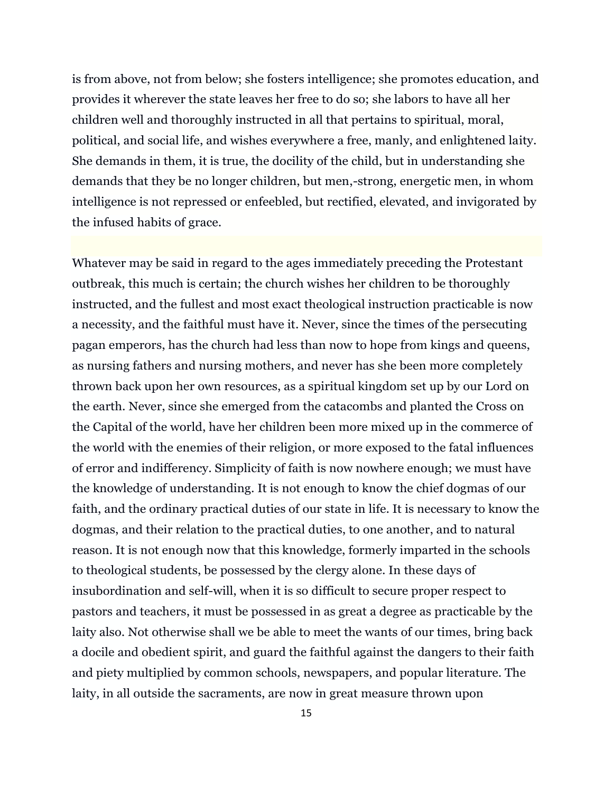is from above, not from below; she fosters intelligence; she promotes education, and provides it wherever the state leaves her free to do so; she labors to have all her children well and thoroughly instructed in all that pertains to spiritual, moral, political, and social life, and wishes everywhere a free, manly, and enlightened laity. She demands in them, it is true, the docility of the child, but in understanding she demands that they be no longer children, but men,-strong, energetic men, in whom intelligence is not repressed or enfeebled, but rectified, elevated, and invigorated by the infused habits of grace.

Whatever may be said in regard to the ages immediately preceding the Protestant outbreak, this much is certain; the church wishes her children to be thoroughly instructed, and the fullest and most exact theological instruction practicable is now a necessity, and the faithful must have it. Never, since the times of the persecuting pagan emperors, has the church had less than now to hope from kings and queens, as nursing fathers and nursing mothers, and never has she been more completely thrown back upon her own resources, as a spiritual kingdom set up by our Lord on the earth. Never, since she emerged from the catacombs and planted the Cross on the Capital of the world, have her children been more mixed up in the commerce of the world with the enemies of their religion, or more exposed to the fatal influences of error and indifferency. Simplicity of faith is now nowhere enough; we must have the knowledge of understanding. It is not enough to know the chief dogmas of our faith, and the ordinary practical duties of our state in life. It is necessary to know the dogmas, and their relation to the practical duties, to one another, and to natural reason. It is not enough now that this knowledge, formerly imparted in the schools to theological students, be possessed by the clergy alone. In these days of insubordination and self-will, when it is so difficult to secure proper respect to pastors and teachers, it must be possessed in as great a degree as practicable by the laity also. Not otherwise shall we be able to meet the wants of our times, bring back a docile and obedient spirit, and guard the faithful against the dangers to their faith and piety multiplied by common schools, newspapers, and popular literature. The laity, in all outside the sacraments, are now in great measure thrown upon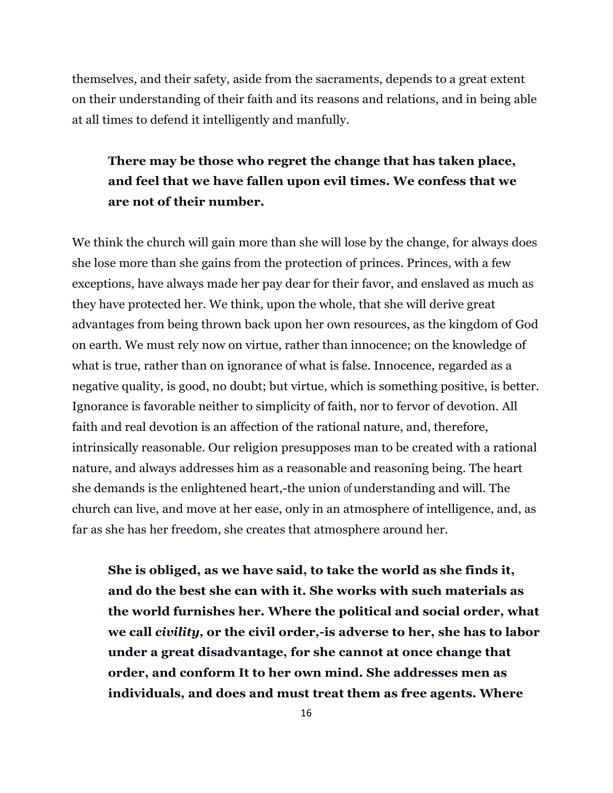themselves, and their safety, aside from the sacraments, depends to a great extent on their understanding of their faith and its reasons and relations, and in being able at all times to defend it intelligently and manfully.

## **There may be those who regret the change that has taken place, and feel that we have fallen upon evil times. We confess that we are not of their number.**

We think the church will gain more than she will lose by the change, for always does she lose more than she gains from the protection of princes. Princes, with a few exceptions, have always made her pay dear for their favor, and enslaved as much as they have protected her. We think, upon the whole, that she will derive great advantages from being thrown back upon her own resources, as the kingdom of God on earth. We must rely now on virtue, rather than innocence; on the knowledge of what is true, rather than on ignorance of what is false. Innocence, regarded as a negative quality, is good, no doubt; but virtue, which is something positive, is better. Ignorance is favorable neither to simplicity of faith, nor to fervor of devotion. All faith and real devotion is an affection of the rational nature, and, therefore, intrinsically reasonable. Our religion presupposes man to be created with a rational nature, and always addresses him as a reasonable and reasoning being. The heart she demands is the enlightened heart,-the union of understanding and will. The church can live, and move at her ease, only in an atmosphere of intelligence, and, as far as she has her freedom, she creates that atmosphere around her.

**She is obliged, as we have said, to take the world as she finds it, and do the best she can with it. She works with such materials as the world furnishes her. Where the political and social order, what we call** *civility,* **or the civil order,-is adverse to her, she has to labor under a great disadvantage, for she cannot at once change that order, and conform It to her own mind. She addresses men as individuals, and does and must treat them as free agents. Where**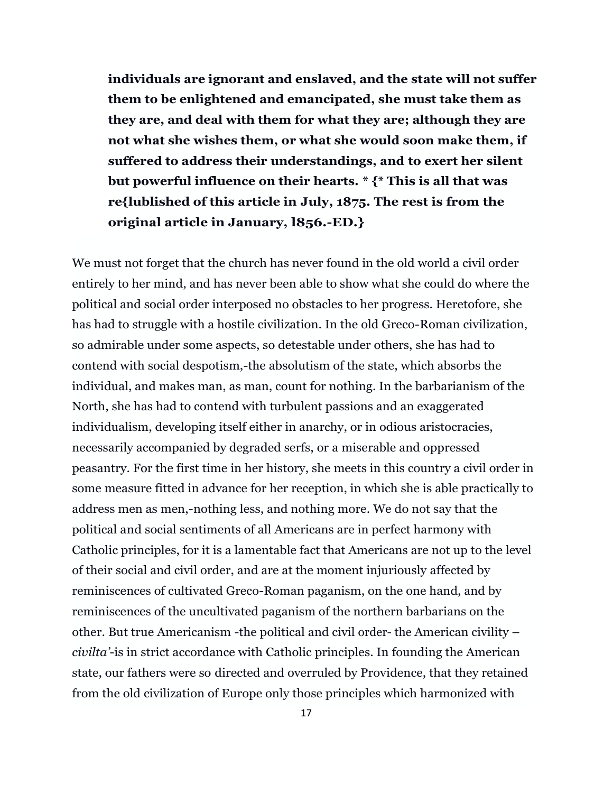**individuals are ignorant and enslaved, and the state will not suffer them to be enlightened and emancipated, she must take them as they are, and deal with them for what they are; although they are not what she wishes them, or what she would soon make them, if suffered to address their understandings, and to exert her silent but powerful influence on their hearts. \* {\* This is all that was re{lublished of this article in July, 1875. The rest is from the original article in January, l856.-ED.}**

We must not forget that the church has never found in the old world a civil order entirely to her mind, and has never been able to show what she could do where the political and social order interposed no obstacles to her progress. Heretofore, she has had to struggle with a hostile civilization. In the old Greco-Roman civilization, so admirable under some aspects, so detestable under others, she has had to contend with social despotism,-the absolutism of the state, which absorbs the individual, and makes man, as man, count for nothing. In the barbarianism of the North, she has had to contend with turbulent passions and an exaggerated individualism, developing itself either in anarchy, or in odious aristocracies, necessarily accompanied by degraded serfs, or a miserable and oppressed peasantry. For the first time in her history, she meets in this country a civil order in some measure fitted in advance for her reception, in which she is able practically to address men as men,-nothing less, and nothing more. We do not say that the political and social sentiments of all Americans are in perfect harmony with Catholic principles, for it is a lamentable fact that Americans are not up to the level of their social and civil order, and are at the moment injuriously affected by reminiscences of cultivated Greco-Roman paganism, on the one hand, and by reminiscences of the uncultivated paganism of the northern barbarians on the other. But true Americanism -the political and civil order- the American civility – *civilta'*-is in strict accordance with Catholic principles. In founding the American state, our fathers were so directed and overruled by Providence, that they retained from the old civilization of Europe only those principles which harmonized with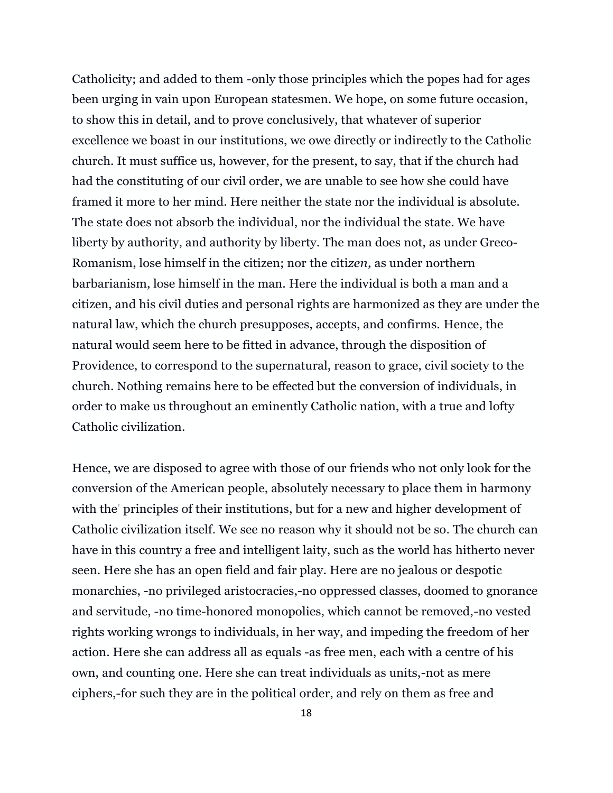Catholicity; and added to them -only those principles which the popes had for ages been urging in vain upon European statesmen. We hope, on some future occasion, to show this in detail, and to prove conclusively, that whatever of superior excellence we boast in our institutions, we owe directly or indirectly to the Catholic church. It must suffice us, however, for the present, to say, that if the church had had the constituting of our civil order, we are unable to see how she could have framed it more to her mind. Here neither the state nor the individual is absolute. The state does not absorb the individual, nor the individual the state. We have liberty by authority, and authority by liberty. The man does not, as under Greco-Romanism, lose himself in the citizen; nor the citi*zen,* as under northern barbarianism, lose himself in the man. Here the individual is both a man and a citizen, and his civil duties and personal rights are harmonized as they are under the natural law, which the church presupposes, accepts, and confirms. Hence, the natural would seem here to be fitted in advance, through the disposition of Providence, to correspond to the supernatural, reason to grace, civil society to the church. Nothing remains here to be effected but the conversion of individuals, in order to make us throughout an eminently Catholic nation, with a true and lofty Catholic civilization.

Hence, we are disposed to agree with those of our friends who not only look for the conversion of the American people, absolutely necessary to place them in harmony with the' principles of their institutions, but for a new and higher development of Catholic civilization itself. We see no reason why it should not be so. The church can have in this country a free and intelligent laity, such as the world has hitherto never seen. Here she has an open field and fair play. Here are no jealous or despotic monarchies, -no privileged aristocracies,-no oppressed classes, doomed to gnorance and servitude, -no time-honored monopolies, which cannot be removed,-no vested rights working wrongs to individuals, in her way, and impeding the freedom of her action. Here she can address all as equals -as free men, each with a centre of his own, and counting one. Here she can treat individuals as units,-not as mere ciphers,-for such they are in the political order, and rely on them as free and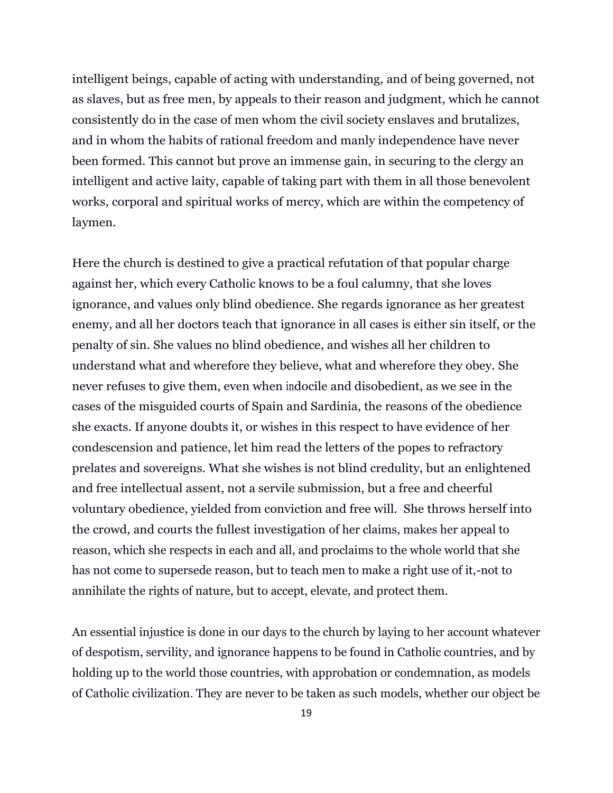intelligent beings, capable of acting with understanding, and of being governed, not as slaves, but as free men, by appeals to their reason and judgment, which he cannot consistently do in the case of men whom the civil society enslaves and brutalizes, and in whom the habits of rational freedom and manly independence have never been formed. This cannot but prove an immense gain, in securing to the clergy an intelligent and active laity, capable of taking part with them in all those benevolent works, corporal and spiritual works of mercy, which are within the competency of laymen.

Here the church is destined to give a practical refutation of that popular charge against her, which every Catholic knows to be a foul calumny, that she loves ignorance, and values only blind obedience. She regards ignorance as her greatest enemy, and all her doctors teach that ignorance in all cases is either sin itself, or the penalty of sin. She values no blind obedience, and wishes all her children to understand what and wherefore they believe, what and wherefore they obey. She never refuses to give them, even when indocile and disobedient, as we see in the cases of the misguided courts of Spain and Sardinia, the reasons of the obedience she exacts. If anyone doubts it, or wishes in this respect to have evidence of her condescension and patience, let him read the letters of the popes to refractory prelates and sovereigns. What she wishes is not blind credulity, but an enlightened and free intellectual assent, not a servile submission, but a free and cheerful voluntary obedience, yielded from conviction and free will. She throws herself into the crowd, and courts the fullest investigation of her claims, makes her appeal to reason, which she respects in each and all, and proclaims to the whole world that she has not come to supersede reason, but to teach men to make a right use of it,-not to annihilate the rights of nature, but to accept, elevate, and protect them.

An essential injustice is done in our days to the church by laying to her account whatever of despotism, servility, and ignorance happens to be found in Catholic countries, and by holding up to the world those countries, with approbation or condemnation, as models of Catholic civilization. They are never to be taken as such models, whether our object be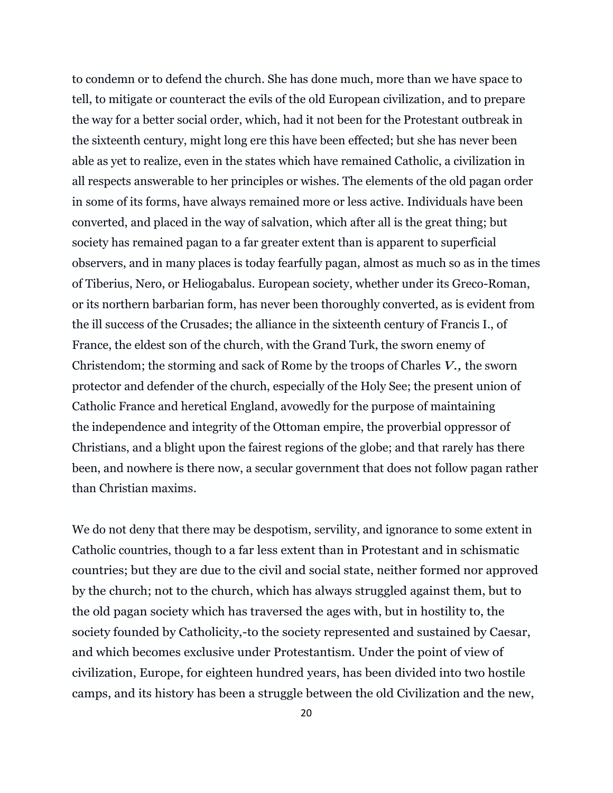to condemn or to defend the church. She has done much, more than we have space to tell, to mitigate or counteract the evils of the old European civilization, and to prepare the way for a better social order, which, had it not been for the Protestant outbreak in the sixteenth century, might long ere this have been effected; but she has never been able as yet to realize, even in the states which have remained Catholic, a civilization in all respects answerable to her principles or wishes. The elements of the old pagan order in some of its forms, have always remained more or less active. Individuals have been converted, and placed in the way of salvation, which after all is the great thing; but society has remained pagan to a far greater extent than is apparent to superficial observers, and in many places is today fearfully pagan, almost as much so as in the times of Tiberius, Nero, or Heliogabalus. European society, whether under its Greco-Roman, or its northern barbarian form, has never been thoroughly converted, as is evident from the ill success of the Crusades; the alliance in the sixteenth century of Francis I., of France, the eldest son of the church, with the Grand Turk, the sworn enemy of Christendom; the storming and sack of Rome by the troops of Charles *V.,* the sworn protector and defender of the church, especially of the Holy See; the present union of Catholic France and heretical England, avowedly for the purpose of maintaining the independence and integrity of the Ottoman empire, the proverbial oppressor of Christians, and a blight upon the fairest regions of the globe; and that rarely has there been, and nowhere is there now, a secular government that does not follow pagan rather than Christian maxims.

We do not deny that there may be despotism, servility, and ignorance to some extent in Catholic countries, though to a far less extent than in Protestant and in schismatic countries; but they are due to the civil and social state, neither formed nor approved by the church; not to the church, which has always struggled against them, but to the old pagan society which has traversed the ages with, but in hostility to, the society founded by Catholicity,-to the society represented and sustained by Caesar, and which becomes exclusive under Protestantism. Under the point of view of civilization, Europe, for eighteen hundred years, has been divided into two hostile camps, and its history has been a struggle between the old Civilization and the new,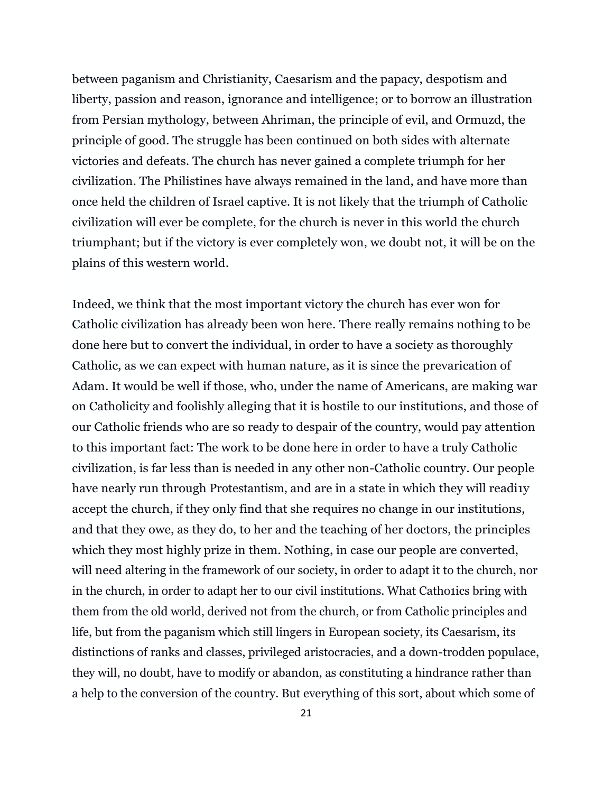between paganism and Christianity, Caesarism and the papacy, despotism and liberty, passion and reason, ignorance and intelligence; or to borrow an illustration from Persian mythology, between Ahriman, the principle of evil, and Ormuzd, the principle of good. The struggle has been continued on both sides with alternate victories and defeats. The church has never gained a complete triumph for her civilization. The Philistines have always remained in the land, and have more than once held the children of Israel captive. It is not likely that the triumph of Catholic civilization will ever be complete, for the church is never in this world the church triumphant; but if the victory is ever completely won, we doubt not, it will be on the plains of this western world.

Indeed, we think that the most important victory the church has ever won for Catholic civilization has already been won here. There really remains nothing to be done here but to convert the individual, in order to have a society as thoroughly Catholic, as we can expect with human nature, as it is since the prevarication of Adam. It would be well if those, who, under the name of Americans, are making war on Catholicity and foolishly alleging that it is hostile to our institutions, and those of our Catholic friends who are so ready to despair of the country, would pay attention to this important fact: The work to be done here in order to have a truly Catholic civilization, is far less than is needed in any other non-Catholic country. Our people have nearly run through Protestantism, and are in a state in which they will reading accept the church, if they only find that she requires no change in our institutions, and that they owe, as they do, to her and the teaching of her doctors, the principles which they most highly prize in them. Nothing, in case our people are converted, will need altering in the framework of our society, in order to adapt it to the church, nor in the church, in order to adapt her to our civil institutions. What Cathonics bring with them from the old world, derived not from the church, or from Catholic principles and life, but from the paganism which still lingers in European society, its Caesarism, its distinctions of ranks and classes, privileged aristocracies, and a down-trodden populace, they will, no doubt, have to modify or abandon, as constituting a hindrance rather than a help to the conversion of the country. But everything of this sort, about which some of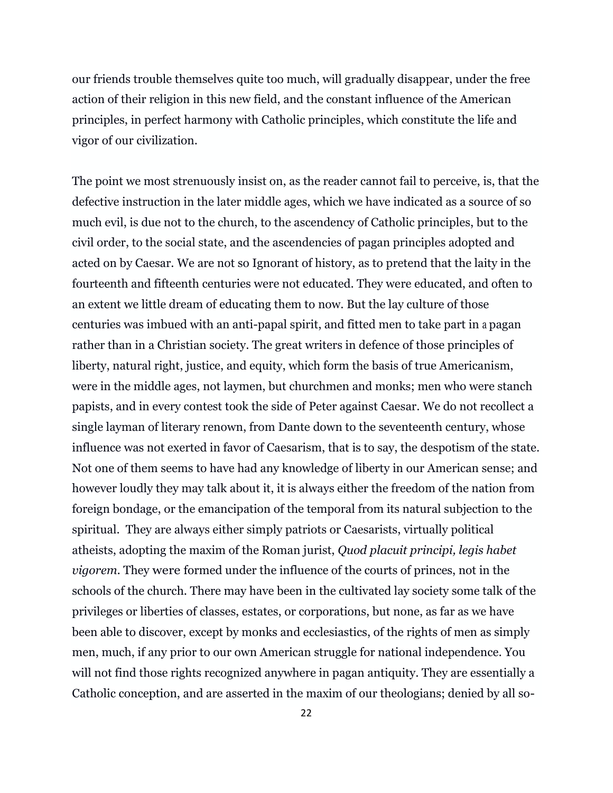our friends trouble themselves quite too much, will gradually disappear, under the free action of their religion in this new field, and the constant influence of the American principles, in perfect harmony with Catholic principles, which constitute the life and vigor of our civilization.

The point we most strenuously insist on, as the reader cannot fail to perceive, is, that the defective instruction in the later middle ages, which we have indicated as a source of so much evil, is due not to the church, to the ascendency of Catholic principles, but to the civil order, to the social state, and the ascendencies of pagan principles adopted and acted on by Caesar. We are not so Ignorant of history, as to pretend that the laity in the fourteenth and fifteenth centuries were not educated. They were educated, and often to an extent we little dream of educating them to now. But the lay culture of those centuries was imbued with an anti-papal spirit, and fitted men to take part in a pagan rather than in a Christian society. The great writers in defence of those principles of liberty, natural right, justice, and equity, which form the basis of true Americanism, were in the middle ages, not laymen, but churchmen and monks; men who were stanch papists, and in every contest took the side of Peter against Caesar. We do not recollect a single layman of literary renown, from Dante down to the seventeenth century, whose influence was not exerted in favor of Caesarism, that is to say, the despotism of the state. Not one of them seems to have had any knowledge of liberty in our American sense; and however loudly they may talk about it, it is always either the freedom of the nation from foreign bondage, or the emancipation of the temporal from its natural subjection to the spiritual. They are always either simply patriots or Caesarists, virtually political atheists, adopting the maxim of the Roman jurist, *Quod placuit principi, legis habet vigorem.* They were formed under the influence of the courts of princes, not in the schools of the church. There may have been in the cultivated lay society some talk of the privileges or liberties of classes, estates, or corporations, but none, as far as we have been able to discover, except by monks and ecclesiastics, of the rights of men as simply men, much, if any prior to our own American struggle for national independence. You will not find those rights recognized anywhere in pagan antiquity. They are essentially a Catholic conception, and are asserted in the maxim of our theologians; denied by all so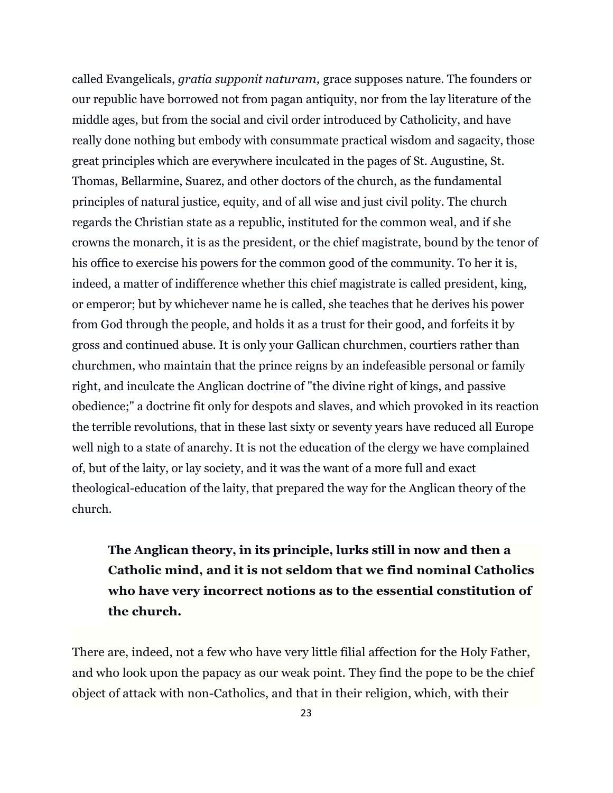called Evangelicals, *gratia supponit naturam,* grace supposes nature. The founders or our republic have borrowed not from pagan antiquity, nor from the lay literature of the middle ages, but from the social and civil order introduced by Catholicity, and have really done nothing but embody with consummate practical wisdom and sagacity, those great principles which are everywhere inculcated in the pages of St. Augustine, St. Thomas, Bellarmine, Suarez, and other doctors of the church, as the fundamental principles of natural justice, equity, and of all wise and just civil polity. The church regards the Christian state as a republic, instituted for the common weal, and if she crowns the monarch, it is as the president, or the chief magistrate, bound by the tenor of his office to exercise his powers for the common good of the community. To her it is, indeed, a matter of indifference whether this chief magistrate is called president, king, or emperor; but by whichever name he is called, she teaches that he derives his power from God through the people, and holds it as a trust for their good, and forfeits it by gross and continued abuse. It is only your Gallican churchmen, courtiers rather than churchmen, who maintain that the prince reigns by an indefeasible personal or family right, and inculcate the Anglican doctrine of "the divine right of kings, and passive obedience;" a doctrine fit only for despots and slaves, and which provoked in its reaction the terrible revolutions, that in these last sixty or seventy years have reduced all Europe well nigh to a state of anarchy. It is not the education of the clergy we have complained of, but of the laity, or lay society, and it was the want of a more full and exact theological-education of the laity, that prepared the way for the Anglican theory of the church.

## **The Anglican theory, in its principle, lurks still in now and then a Catholic mind, and it is not seldom that we find nominal Catholics who have very incorrect notions as to the essential constitution of the church.**

There are, indeed, not a few who have very little filial affection for the Holy Father, and who look upon the papacy as our weak point. They find the pope to be the chief object of attack with non-Catholics, and that in their religion, which, with their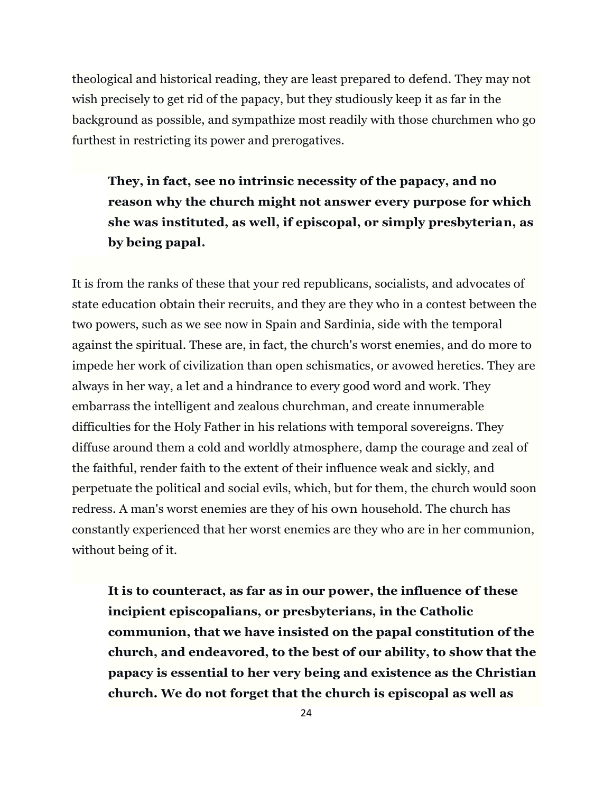theological and historical reading, they are least prepared to defend. They may not wish precisely to get rid of the papacy, but they studiously keep it as far in the background as possible, and sympathize most readily with those churchmen who go furthest in restricting its power and prerogatives.

**They, in fact, see no intrinsic necessity of the papacy, and no reason why the church might not answer every purpose for which she was instituted, as well, if episcopal, or simply presbyterian, as by being papal.**

It is from the ranks of these that your red republicans, socialists, and advocates of state education obtain their recruits, and they are they who in a contest between the two powers, such as we see now in Spain and Sardinia, side with the temporal against the spiritual. These are, in fact, the church's worst enemies, and do more to impede her work of civilization than open schismatics, or avowed heretics. They are always in her way, a let and a hindrance to every good word and work. They embarrass the intelligent and zealous churchman, and create innumerable difficulties for the Holy Father in his relations with temporal sovereigns. They diffuse around them a cold and worldly atmosphere, damp the courage and zeal of the faithful, render faith to the extent of their influence weak and sickly, and perpetuate the political and social evils, which, but for them, the church would soon redress. A man's worst enemies are they of his own household. The church has constantly experienced that her worst enemies are they who are in her communion, without being of it.

**It is to counteract, as far as in our power, the influence of these incipient episcopalians, or presbyterians, in the Catholic communion, that we have insisted on the papal constitution of the church, and endeavored, to the best of our ability, to show that the papacy is essential to her very being and existence as the Christian church. We do not forget that the church is episcopal as well as**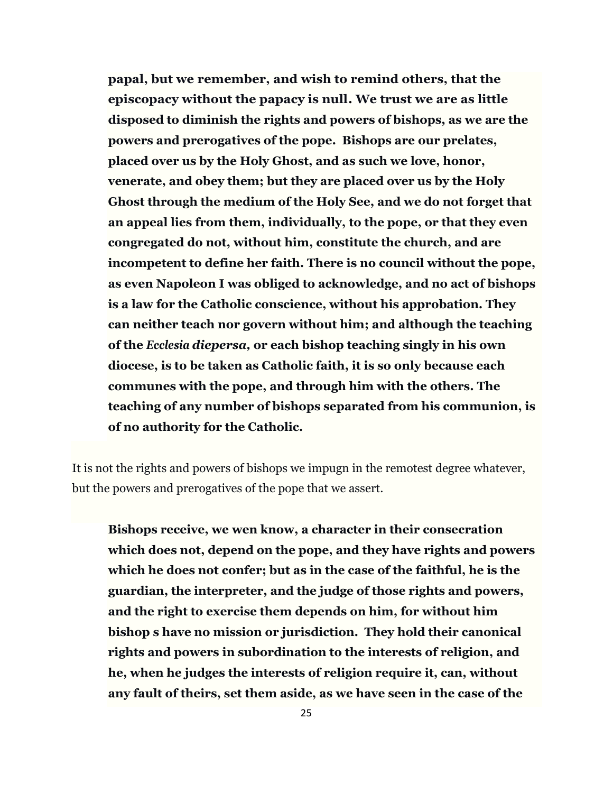**papal, but we remember, and wish to remind others, that the episcopacy without the papacy is null. We trust we are as little disposed to diminish the rights and powers of bishops, as we are the powers and prerogatives of the pope. Bishops are our prelates, placed over us by the Holy Ghost, and as such we love, honor, venerate, and obey them; but they are placed over us by the Holy Ghost through the medium of the Holy See, and we do not forget that an appeal lies from them, individually, to the pope, or that they even congregated do not, without him, constitute the church, and are incompetent to define her faith. There is no council without the pope, as even Napoleon I was obliged to acknowledge, and no act of bishops is a law for the Catholic conscience, without his approbation. They can neither teach nor govern without him; and although the teaching of the** *Ecclesia diepersa,* **or each bishop teaching singly in his own diocese, is to be taken as Catholic faith, it is so only because each communes with the pope, and through him with the others. The teaching of any number of bishops separated from his communion, is of no authority for the Catholic.**

It is not the rights and powers of bishops we impugn in the remotest degree whatever, but the powers and prerogatives of the pope that we assert.

**Bishops receive, we wen know, a character in their consecration which does not, depend on the pope, and they have rights and powers which he does not confer; but as in the case of the faithful, he is the guardian, the interpreter, and the judge of those rights and powers, and the right to exercise them depends on him, for without him bishop s have no mission or jurisdiction. They hold their canonical rights and powers in subordination to the interests of religion, and he, when he judges the interests of religion require it, can, without any fault of theirs, set them aside, as we have seen in the case of the**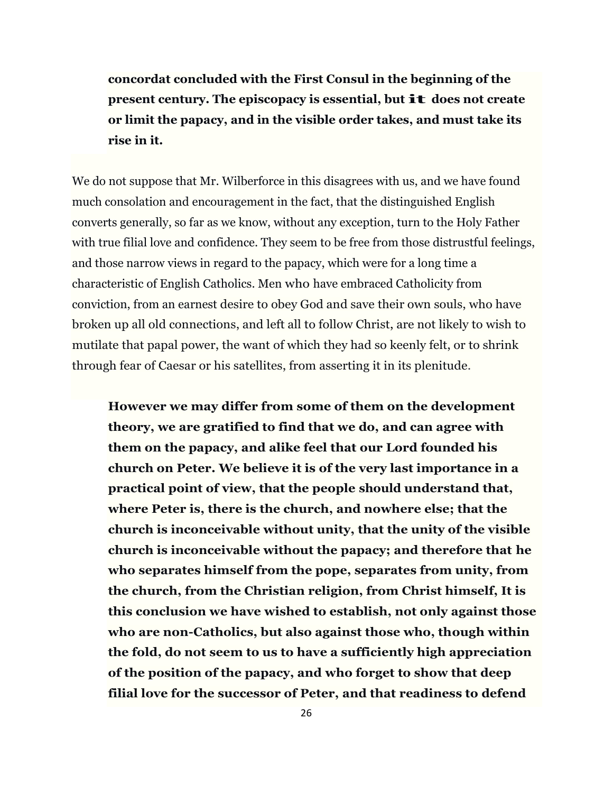**concordat concluded with the First Consul in the beginning of the present century. The episcopacy is essential, but it does not create or limit the papacy, and in the visible order takes, and must take its rise in it.**

We do not suppose that Mr. Wilberforce in this disagrees with us, and we have found much consolation and encouragement in the fact, that the distinguished English converts generally, so far as we know, without any exception, turn to the Holy Father with true filial love and confidence. They seem to be free from those distrustful feelings, and those narrow views in regard to the papacy, which were for a long time a characteristic of English Catholics. Men who have embraced Catholicity from conviction, from an earnest desire to obey God and save their own souls, who have broken up all old connections, and left all to follow Christ, are not likely to wish to mutilate that papal power, the want of which they had so keenly felt, or to shrink through fear of Caesar or his satellites, from asserting it in its plenitude.

**However we may differ from some of them on the development theory, we are gratified to find that we do, and can agree with them on the papacy, and alike feel that our Lord founded his church on Peter. We believe it is of the very last importance in a practical point of view, that the people should understand that, where Peter is, there is the church, and nowhere else; that the church is inconceivable without unity, that the unity of the visible church is inconceivable without the papacy; and therefore that he who separates himself from the pope, separates from unity, from the church, from the Christian religion, from Christ himself, It is this conclusion we have wished to establish, not only against those who are non-Catholics, but also against those who, though within the fold, do not seem to us to have a sufficiently high appreciation of the position of the papacy, and who forget to show that deep filial love for the successor of Peter, and that readiness to defend**